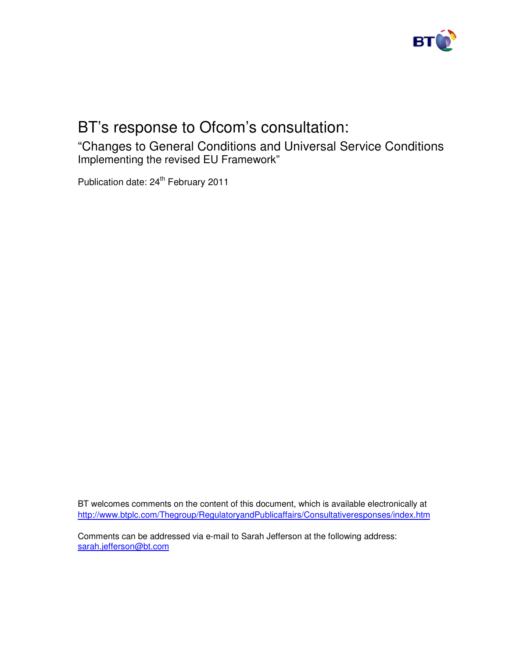

# BT's response to Ofcom's consultation:

"Changes to General Conditions and Universal Service Conditions Implementing the revised EU Framework"

Publication date: 24<sup>th</sup> February 2011

BT welcomes comments on the content of this document, which is available electronically at http://www.btplc.com/Thegroup/RegulatoryandPublicaffairs/Consultativeresponses/index.htm

Comments can be addressed via e-mail to Sarah Jefferson at the following address: sarah.jefferson@bt.com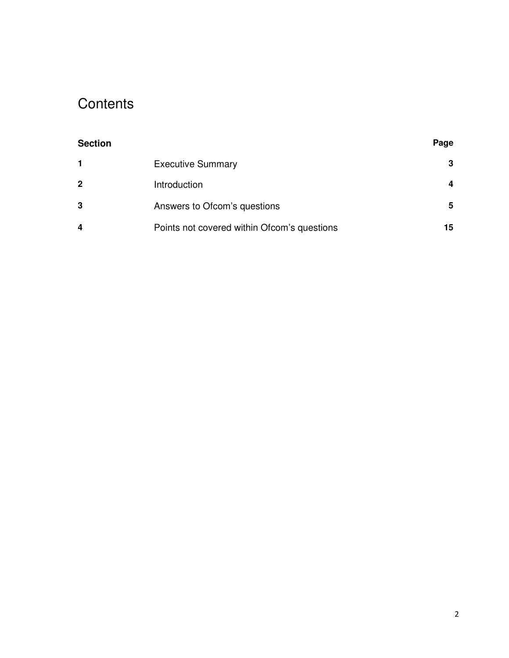# **Contents**

| <b>Section</b> |                                             | Page |
|----------------|---------------------------------------------|------|
| $\mathbf 1$    | <b>Executive Summary</b>                    | 3    |
| $\mathbf{2}$   | Introduction                                | 4    |
| 3              | Answers to Ofcom's questions                | 5    |
| 4              | Points not covered within Ofcom's questions | 15   |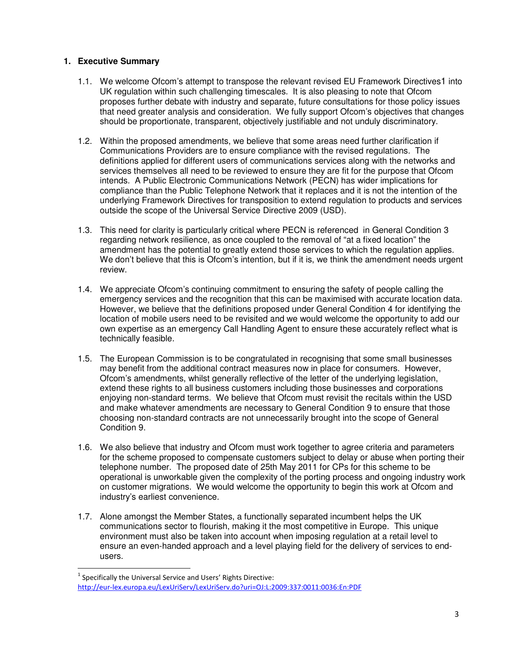- 1.1. We welcome Ofcom's attempt to transpose the relevant revised EU Framework Directives1 into UK regulation within such challenging timescales. It is also pleasing to note that Ofcom proposes further debate with industry and separate, future consultations for those policy issues that need greater analysis and consideration. We fully support Ofcom's objectives that changes should be proportionate, transparent, objectively justifiable and not unduly discriminatory.
- **1.** Executive Summary consistency consistency consistency in the state of the consistent of the state of the state of the state of the state of the state of the state of the state of the state of the state of the state of 1.2. Within the proposed amendments, we believe that some areas need further clarification if Communications Providers are to ensure compliance with the revised regulations. The definitions applied for different users of communications services along with the networks and services themselves all need to be reviewed to ensure they are fit for the purpose that Ofcom intends. A Public Electronic Communications Network (PECN) has wider implications for compliance than the Public Telephone Network that it replaces and it is not the intention of the underlying Framework Directives for transposition to extend regulation to products and services outside the scope of the Universal Service Directive 2009 (USD).
	- 1.3. This need for clarity is particularly critical where PECN is referenced in General Condition 3 regarding network resilience, as once coupled to the removal of "at a fixed location" the amendment has the potential to greatly extend those services to which the regulation applies. We don't believe that this is Ofcom's intention, but if it is, we think the amendment needs urgent review.
	- 1.4. We appreciate Ofcom's continuing commitment to ensuring the safety of people calling the emergency services and the recognition that this can be maximised with accurate location data. However, we believe that the definitions proposed under General Condition 4 for identifying the location of mobile users need to be revisited and we would welcome the opportunity to add our own expertise as an emergency Call Handling Agent to ensure these accurately reflect what is technically feasible.
	- 1.5. The European Commission is to be congratulated in recognising that some small businesses may benefit from the additional contract measures now in place for consumers. However, Ofcom's amendments, whilst generally reflective of the letter of the underlying legislation, extend these rights to all business customers including those businesses and corporations enjoying non-standard terms. We believe that Ofcom must revisit the recitals within the USD and make whatever amendments are necessary to General Condition 9 to ensure that those choosing non-standard contracts are not unnecessarily brought into the scope of General Condition 9.
	- 1.6. We also believe that industry and Ofcom must work together to agree criteria and parameters for the scheme proposed to compensate customers subject to delay or abuse when porting their telephone number. The proposed date of 25th May 2011 for CPs for this scheme to be operational is unworkable given the complexity of the porting process and ongoing industry work on customer migrations. We would welcome the opportunity to begin this work at Ofcom and industry's earliest convenience.
	- 1.7. Alone amongst the Member States, a functionally separated incumbent helps the UK communications sector to flourish, making it the most competitive in Europe. This unique environment must also be taken into account when imposing regulation at a retail level to ensure an even-handed approach and a level playing field for the delivery of services to endusers.

 $^1$  Specifically the Universal Service and Users' Rights Directive: http://eur-lex.europa.eu/LexUriServ/LexUriServ.do?uri=OJ:L:2009:337:0011:0036:En:PDF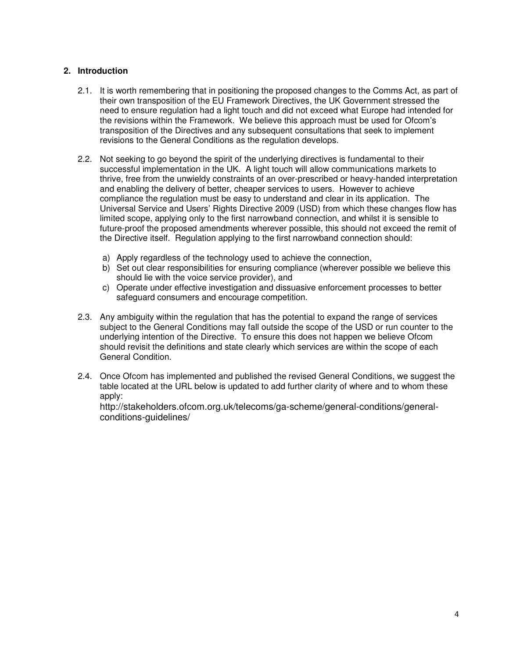# **2. Introduction**

- 2.1. It is worth remembering that in positioning the proposed changes to the Comms Act, as part of their own transposition of the EU Framework Directives, the UK Government stressed the need to ensure regulation had a light touch and did not exceed what Europe had intended for the revisions within the Framework. We believe this approach must be used for Ofcom's transposition of the Directives and any subsequent consultations that seek to implement revisions to the General Conditions as the regulation develops.
- 2.2. Not seeking to go beyond the spirit of the underlying directives is fundamental to their successful implementation in the UK. A light touch will allow communications markets to thrive, free from the unwieldy constraints of an over-prescribed or heavy-handed interpretation and enabling the delivery of better, cheaper services to users. However to achieve compliance the regulation must be easy to understand and clear in its application. The Universal Service and Users' Rights Directive 2009 (USD) from which these changes flow has limited scope, applying only to the first narrowband connection, and whilst it is sensible to future-proof the proposed amendments wherever possible, this should not exceed the remit of the Directive itself. Regulation applying to the first narrowband connection should:
	- a) Apply regardless of the technology used to achieve the connection,
	- b) Set out clear responsibilities for ensuring compliance (wherever possible we believe this should lie with the voice service provider), and
	- c) Operate under effective investigation and dissuasive enforcement processes to better safeguard consumers and encourage competition.
- 2.3. Any ambiguity within the regulation that has the potential to expand the range of services subject to the General Conditions may fall outside the scope of the USD or run counter to the underlying intention of the Directive. To ensure this does not happen we believe Ofcom should revisit the definitions and state clearly which services are within the scope of each General Condition.
- 2.4. Once Ofcom has implemented and published the revised General Conditions, we suggest the table located at the URL below is updated to add further clarity of where and to whom these apply:

http://stakeholders.ofcom.org.uk/telecoms/ga-scheme/general-conditions/generalconditions-guidelines/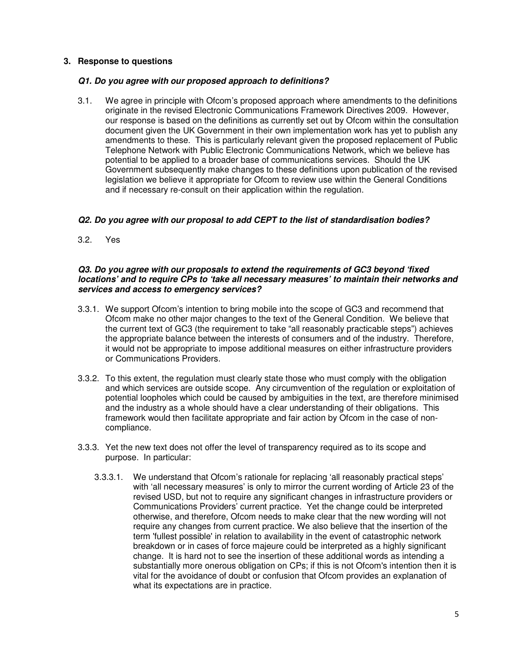## **3. Response to questions**

#### *Q1. Do you agree with our proposed approach to definitions?*

3.1. We agree in principle with Ofcom's proposed approach where amendments to the definitions originate in the revised Electronic Communications Framework Directives 2009. However, our response is based on the definitions as currently set out by Ofcom within the consultation document given the UK Government in their own implementation work has yet to publish any amendments to these. This is particularly relevant given the proposed replacement of Public Telephone Network with Public Electronic Communications Network, which we believe has potential to be applied to a broader base of communications services. Should the UK Government subsequently make changes to these definitions upon publication of the revised legislation we believe it appropriate for Ofcom to review use within the General Conditions and if necessary re-consult on their application within the regulation.

### *Q2. Do you agree with our proposal to add CEPT to the list of standardisation bodies?*

3.2. Yes

#### *Q3. Do you agree with our proposals to extend the requirements of GC3 beyond 'fixed locations' and to require CPs to 'take all necessary measures' to maintain their networks and services and access to emergency services?*

- 3.3.1. We support Ofcom's intention to bring mobile into the scope of GC3 and recommend that Ofcom make no other major changes to the text of the General Condition. We believe that the current text of GC3 (the requirement to take "all reasonably practicable steps") achieves the appropriate balance between the interests of consumers and of the industry. Therefore, it would not be appropriate to impose additional measures on either infrastructure providers or Communications Providers.
- 3.3.2. To this extent, the regulation must clearly state those who must comply with the obligation and which services are outside scope. Any circumvention of the regulation or exploitation of potential loopholes which could be caused by ambiguities in the text, are therefore minimised and the industry as a whole should have a clear understanding of their obligations. This framework would then facilitate appropriate and fair action by Ofcom in the case of noncompliance.
- 3.3.3. Yet the new text does not offer the level of transparency required as to its scope and purpose. In particular:
	- 3.3.3.1. We understand that Ofcom's rationale for replacing 'all reasonably practical steps' with 'all necessary measures' is only to mirror the current wording of Article 23 of the revised USD, but not to require any significant changes in infrastructure providers or Communications Providers' current practice. Yet the change could be interpreted otherwise, and therefore, Ofcom needs to make clear that the new wording will not require any changes from current practice. We also believe that the insertion of the term 'fullest possible'in relation to availability in the event of catastrophic network breakdown or in cases of force majeure could be interpreted as a highly significant change. It is hard not to see the insertion of these additional words as intending a substantially more onerous obligation on CPs; if this is not Ofcom's intention then it is vital for the avoidance of doubt or confusion that Ofcom provides an explanation of what its expectations are in practice.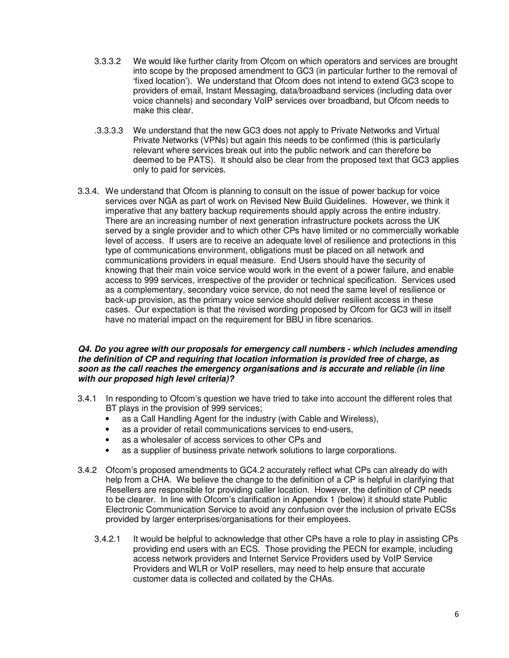- 3.3.3.2 We would like further clarity from Ofcom on which operators and services are brought into scope by the proposed amendment to GC3 (in particular further to the removal of 'fixed location'). We understand that Ofcom does not intend to extend GC3 scope to providers of email, Instant Messaging, data/broadband services (including data over voice channels) and secondary VoIP services over broadband, but Ofcom needs to make this clear.
- .3.3.3.3 We understand that the new GC3 does not apply to Private Networks and Virtual Private Networks (VPNs) but again this needs to be confirmed (this is particularly relevant where services break out into the public network and can therefore be deemed to be PATS). It should also be clear from the proposed text that GC3 applies only to paid for services.
- 3.3.4. We understand that Ofcom is planning to consult on the issue of power backup for voice services over NGA as part of work on Revised New Build Guidelines. However, we think it imperative that any battery backup requirements should apply across the entire industry. There are an increasing number of next generation infrastructure pockets across the UK served by a single provider and to which other CPs have limited or no commercially workable level of access. If users are to receive an adequate level of resilience and protections in this type of communications environment, obligations must be placed on all network and communications providers in equal measure. End Users should have the security of knowing that their main voice service would work in the event of a power failure, and enable access to 999 services, irrespective of the provider or technical specification. Services used as a complementary, secondary voice service, do not need the same level of resilience or back-up provision, as the primary voice service should deliver resilient access in these cases. Our expectation is that the revised wording proposed by Ofcom for GC3 will in itself have no material impact on the requirement for BBU in fibre scenarios.

### *Q4. Do you agree with our proposals for emergency call numbers - which includes amending the definition of CP and requiring that location information is provided free of charge, as soon as the call reaches the emergency organisations and is accurate and reliable (in line with our proposed high level criteria)?*

- 3.4.1 In responding to Ofcom's question we have tried to take into account the different roles that BT plays in the provision of 999 services:
	- as a Call Handling Agent for the industry (with Cable and Wireless),
	- as a provider of retail communications services to end-users,
	- as a wholesaler of access services to other CPs and
	- as a supplier of business private network solutions to large corporations.
- 3.4.2 Ofcom's proposed amendments to GC4.2 accurately reflect what CPs can already do with help from a CHA. We believe the change to the definition of a CP is helpful in clarifying that Resellers are responsible for providing caller location. However, the definition of CP needs to be clearer. In line with Ofcom's clarification in Appendix 1 (below) it should state Public Electronic Communication Service to avoid any confusion over the inclusion of private ECSs provided by larger enterprises/organisations for their employees.
	- 3.4.2.1 It would be helpful to acknowledge that other CPs have a role to play in assisting CPs providing end users with an ECS. Those providing the PECN for example, including access network providers and Internet Service Providers used by VoIP Service Providers and WLR or VoIP resellers, may need to help ensure that accurate customer data is collected and collated by the CHAs.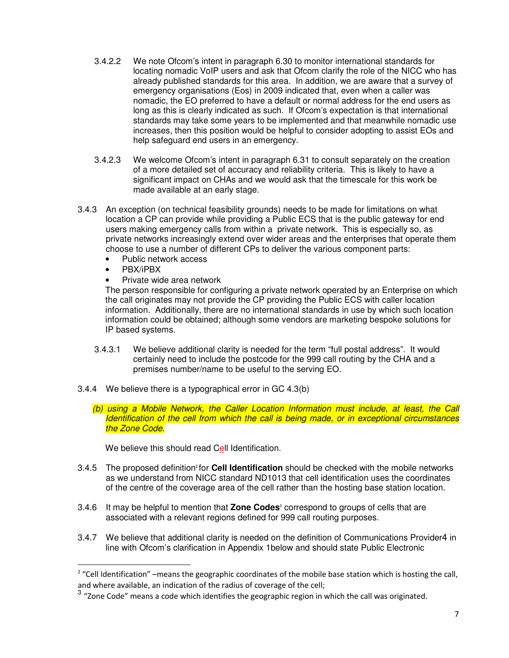- 3.4.2.2 We note Ofcom's intent in paragraph 6.30 to monitor international standards for locating nomadic VoIP users and ask that Ofcom clarify the role of the NICC who has already published standards for this area. In addition, we are aware that a survey of emergency organisations (Eos) in 2009 indicated that, even when a caller was nomadic, the EO preferred to have a default or normal address for the end users as long as this is clearly indicated as such. If Ofcom's expectation is that international standards may take some years to be implemented and that meanwhile nomadic use increases, then this position would be helpful to consider adopting to assist EOs and help safeguard end users in an emergency.
- 3.4.2.3 We welcome Ofcom's intent in paragraph 6.31 to consult separately on the creation of a more detailed set of accuracy and reliability criteria. This is likely to have a significant impact on CHAs and we would ask that the timescale for this work be made available at an early stage.
- 3.4.3 An exception (on technical feasibility grounds) needs to be made for limitations on what location a CP can provide while providing a Public ECS that is the public gateway for end users making emergency calls from within a private network. This is especially so, as private networks increasingly extend over wider areas and the enterprises that operate them choose to use a number of different CPs to deliver the various component parts:
	- Public network access
	- PBX/iPBX

• Private wide area network

The person responsible for configuring a private network operated by an Enterprise on which the call originates may not provide the CP providing the Public ECS with caller location information. Additionally, there are no international standards in use by which such location information could be obtained; although some vendors are marketing bespoke solutions for IP based systems.

- 3.4.3.1 We believe additional clarity is needed for the term "full postal address". It would certainly need to include the postcode for the 999 call routing by the CHA and a premises number/name to be useful to the serving EO.
- 3.4.4 We believe there is a typographical error in GC 4.3(b)
	- *(b) using a Mobile Network, the Caller Location Information must include, at least, the Call Identification of the cell from which the call is being made, or in exceptional circumstances the Zone Code.*

We believe this should read Cell Identification.

- 3.4.5 The proposed definition<sup>2</sup> for **Cell Identification** should be checked with the mobile networks as we understand from NICC standard ND1013 that cell identification uses the coordinates of the centre of the coverage area of the cell rather than the hosting base station location.
- 3.4.6 It may be helpful to mention that **Zone Codes**ª correspond to groups of cells that are associated with a relevant regions defined for 999 call routing purposes.
- 3.4.7 We believe that additional clarity is needed on the definition of Communications Provider4 in line with Ofcom's clarification in Appendix 1below and should state Public Electronic

 $2$  "Cell Identification" –means the geographic coordinates of the mobile base station which is hosting the call, and where available, an indication of the radius of coverage of the cell;

 $^3$  "Zone Code" means a code which identifies the geographic region in which the call was originated.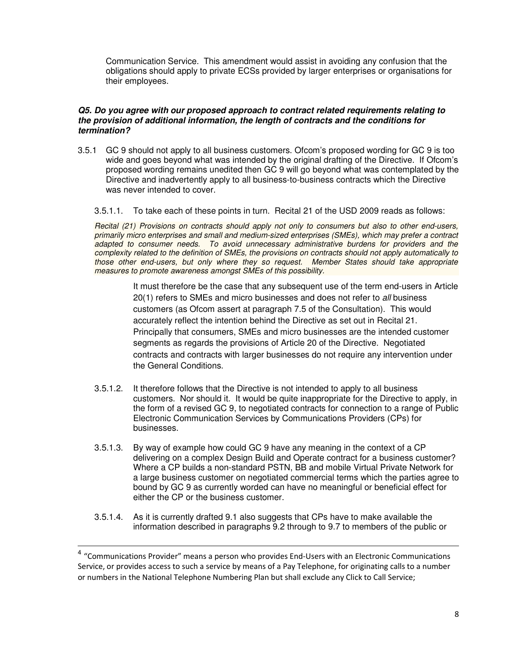Communication Service. This amendment would assist in avoiding any confusion that the obligations should apply to private ECSs provided by larger enterprises or organisations for their employees.

### *Q5. Do you agree with our proposed approach to contract related requirements relating to the provision of additional information, the length of contracts and the conditions for termination?*

- 3.5.1 GC 9 should not apply to all business customers. Ofcom's proposed wording for GC 9 is too wide and goes beyond what was intended by the original drafting of the Directive. If Ofcom's proposed wording remains unedited then GC 9 will go beyond what was contemplated by the Directive and inadvertently apply to all business-to-business contracts which the Directive was never intended to cover.
	- 3.5.1.1. To take each of these points in turn. Recital 21 of the USD 2009 reads as follows:

*Recital (21) Provisions on contracts should apply not only to consumers but also to other end-users, primarily micro enterprises and small and medium-sized enterprises (SMEs), which may prefer a contract adapted to consumer needs. To avoid unnecessary administrative burdens for providers and the complexity related to the definition of SMEs, the provisions on contracts should not apply automatically to those other end-users, but only where they so request. Member States should take appropriate measures to promote awareness amongst SMEs of this possibility.*

> It must therefore be the case that any subsequent use of the term end-users in Article 20(1) refers to SMEs and micro businesses and does not refer to *all* business customers (as Ofcom assert at paragraph 7.5 of the Consultation). This would accurately reflect the intention behind the Directive as set out in Recital 21. Principally that consumers, SMEs and micro businesses are the intended customer segments as regards the provisions of Article 20 of the Directive. Negotiated contracts and contracts with larger businesses do not require any intervention under the General Conditions.

- 3.5.1.2. It therefore follows that the Directive is not intended to apply to all business customers. Nor should it. It would be quite inappropriate for the Directive to apply, in the form of a revised GC 9, to negotiated contracts for connection to a range of Public Electronic Communication Services by Communications Providers (CPs) for businesses.
- 3.5.1.3. By way of example how could GC 9 have any meaning in the context of a CP delivering on a complex Design Build and Operate contract for a business customer? Where a CP builds a non-standard PSTN, BB and mobile Virtual Private Network for a large business customer on negotiated commercial terms which the parties agree to bound by GC 9 as currently worded can have no meaningful or beneficial effect for either the CP or the business customer.
- 3.5.1.4. As it is currently drafted 9.1 also suggests that CPs have to make available the information described in paragraphs 9.2 through to 9.7 to members of the public or

<sup>4 &</sup>quot;Communications Provider" means a person who provides End-Users with an Electronic Communications Service, or provides access to such a service by means of a Pay Telephone, for originating calls to a number or numbers in the National Telephone Numbering Plan but shall exclude any Click to Call Service;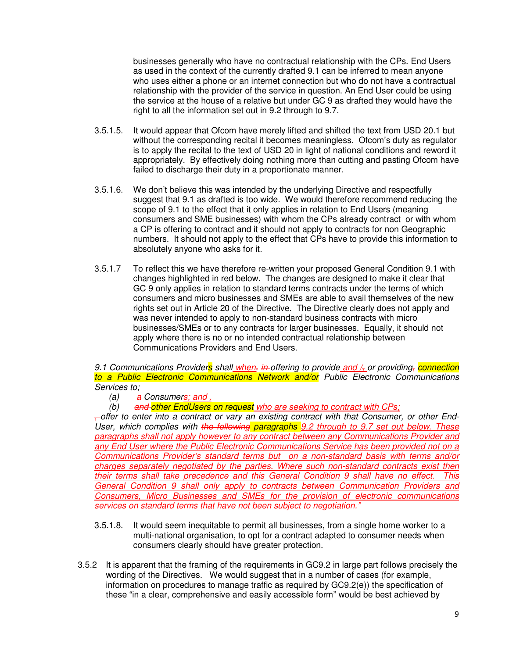businesses generally who have no contractual relationship with the CPs. End Users as used in the context of the currently drafted 9.1 can be inferred to mean anyone who uses either a phone or an internet connection but who do not have a contractual relationship with the provider of the service in question. An End User could be using the service at the house of a relative but under GC 9 as drafted they would have the right to all the information set out in 9.2 through to 9.7.

- 3.5.1.5. It would appear that Ofcom have merely lifted and shifted the text from USD 20.1 but without the corresponding recital it becomes meaningless. Ofcom's duty as regulator is to apply the recital to the text of USD 20 in light of national conditions and reword it appropriately. By effectively doing nothing more than cutting and pasting Ofcom have failed to discharge their duty in a proportionate manner.
- 3.5.1.6. We don't believe this was intended by the underlying Directive and respectfully suggest that 9.1 as drafted is too wide. We would therefore recommend reducing the scope of 9.1 to the effect that it only applies in relation to End Users (meaning consumers and SME businesses) with whom the CPs already contract or with whom a CP is offering to contract and it should not apply to contracts for non Geographic numbers. It should not apply to the effect that CPs have to provide this information to absolutely anyone who asks for it.
- 3.5.1.7 To reflect this we have therefore re-written your proposed General Condition 9.1 with changes highlighted in red below. The changes are designed to make it clear that GC 9 only applies in relation to standard terms contracts under the terms of which consumers and micro businesses and SMEs are able to avail themselves of the new rights set out in Article 20 of the Directive. The Directive clearly does not apply and was never intended to apply to non-standard business contracts with micro businesses/SMEs or to any contracts for larger businesses. Equally, it should not apply where there is no or no intended contractual relationship between Communications Providers and End Users.

*9.1 Communications Providers shall when, in offering to provide and /, or providing, connection to a Public Electronic Communications Network and/or Public Electronic Communications Services to;*

- *(a) a Consumers; and ,*
- *(b) and other EndUsers on request who are seeking to contract with CPs;*

*, offer to enter into a contract or vary an existing contract with that Consumer, or other End-User, which complies with the following paragraphs 9.2 through to 9.7 set out below. These paragraphs shall not apply however to any contract between any Communications Provider and any End User where the Public Electronic Communications Service has been provided not on a Communications Provider's standard terms but on a non-standard basis with terms and/or charges separately negotiated by the parties. Where such non-standard contracts exist then their terms shall take precedence and this General Condition 9 shall have no effect. This General Condition 9 shall only apply to contracts between Communication Providers and Consumers, Micro Businesses and SMEs for the provision of electronic communications services on standard terms that have not been subject to negotiation."*

- 3.5.1.8. It would seem inequitable to permit all businesses, from a single home worker to a multi-national organisation, to opt for a contract adapted to consumer needs when consumers clearly should have greater protection.
- 3.5.2 It is apparent that the framing of the requirements in GC9.2 in large part follows precisely the wording of the Directives. We would suggest that in a number of cases (for example, information on procedures to manage traffic as required by GC9.2(e)) the specification of these "in a clear, comprehensive and easily accessible form" would be best achieved by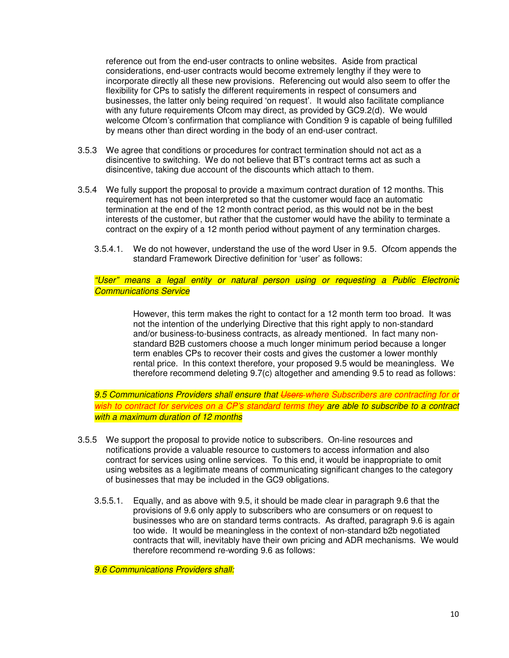reference out from the end-user contracts to online websites. Aside from practical considerations, end-user contracts would become extremely lengthy if they were to incorporate directly all these new provisions. Referencing out would also seem to offer the flexibility for CPs to satisfy the different requirements in respect of consumers and businesses, the latter only being required 'on request'. It would also facilitate compliance with any future requirements Ofcom may direct, as provided by GC9.2(d). We would welcome Ofcom's confirmation that compliance with Condition 9 is capable of being fulfilled by means other than direct wording in the body of an end-user contract.

- 3.5.3 We agree that conditions or procedures for contract termination should not act as a disincentive to switching. We do not believe that BT's contract terms act as such a disincentive, taking due account of the discounts which attach to them.
- 3.5.4 We fully support the proposal to provide a maximum contract duration of 12 months. This requirement has not been interpreted so that the customer would face an automatic termination at the end of the 12 month contract period, as this would not be in the best interests of the customer, but rather that the customer would have the ability to terminate a contract on the expiry of a 12 month period without payment of any termination charges.
	- 3.5.4.1. We do not however, understand the use of the word User in 9.5. Ofcom appends the standard Framework Directive definition for 'user' as follows:

*"User" means a legal entity or natural person using or requesting a Public Electronic Communications Service*

> However, this term makes the right to contact for a 12 month term too broad. It was not the intention of the underlying Directive that this right apply to non-standard and/or business-to-business contracts, as already mentioned. In fact many nonstandard B2B customers choose a much longer minimum period because a longer term enables CPs to recover their costs and gives the customer a lower monthly rental price. In this context therefore, your proposed 9.5 would be meaningless. We therefore recommend deleting 9.7(c) altogether and amending 9.5 to read as follows:

*9.5 Communications Providers shall ensure that Users where Subscribers are contracting for or wish to contract for services on a CP's standard terms they are able to subscribe to a contract with a maximum duration of 12 months*

- 3.5.5 We support the proposal to provide notice to subscribers. On-line resources and notifications provide a valuable resource to customers to access information and also contract for services using online services. To this end, it would be inappropriate to omit using websites as a legitimate means of communicating significant changes to the category of businesses that may be included in the GC9 obligations.
	- 3.5.5.1. Equally, and as above with 9.5, it should be made clear in paragraph 9.6 that the provisions of 9.6 only apply to subscribers who are consumers or on request to businesses who are on standard terms contracts. As drafted, paragraph 9.6 is again too wide. It would be meaningless in the context of non-standard b2b negotiated contracts that will, inevitably have their own pricing and ADR mechanisms. We would therefore recommend re-wording 9.6 as follows:

*9.6 Communications Providers shall:*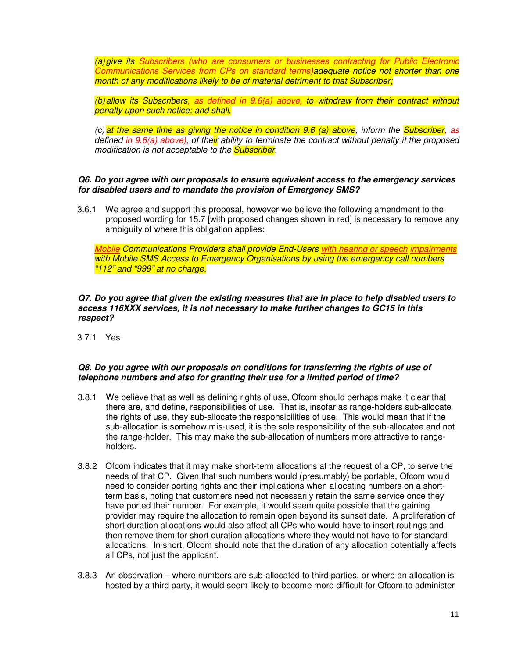*(a)give its Subscribers (who are consumers or businesses contracting for Public Electronic Communications Services from CPs on standard terms)adequate notice not shorter than one month of any modifications likely to be of material detriment to that Subscriber;*

*(b)allow its Subscribers, as defined in 9.6(a) above, to withdraw from their contract without penalty upon such notice; and shall,*

*(c) at the same time as giving the notice in condition 9.6 (a) above, inform the Subscriber, as defined in 9.6(a) above), of their ability to terminate the contract without penalty if the proposed modification is not acceptable to the Subscriber.*

#### *Q6. Do you agree with our proposals to ensure equivalent access to the emergency services for disabled users and to mandate the provision of Emergency SMS?*

3.6.1 We agree and support this proposal, however we believe the following amendment to the proposed wording for 15.7 [with proposed changes shown in red] is necessary to remove any ambiguity of where this obligation applies:

*Mobile Communications Providers shall provide End-Users with hearing or speech impairments with Mobile SMS Access to Emergency Organisations by using the emergency call numbers "112" and "999" at no charge.*

#### *Q7. Do you agree that given the existing measures that are in place to help disabled users to access 116XXX services, it is not necessary to make further changes to GC15 in this respect?*

3.7.1 Yes

#### *Q8. Do you agree with our proposals on conditions for transferring the rights of use of telephone numbers and also for granting their use for a limited period of time?*

- 3.8.1 We believe that as well as defining rights of use, Ofcom should perhaps make it clear that there are, and define, responsibilities of use. That is, insofar as range-holders sub-allocate the rights of use, they sub-allocate the responsibilities of use. This would mean that if the sub-allocation is somehow mis-used, it is the sole responsibility of the sub-allocatee and not the range-holder. This may make the sub-allocation of numbers more attractive to rangeholders.
- 3.8.2 Ofcom indicates that it may make short-term allocations at the request of a CP, to serve the needs of that CP. Given that such numbers would (presumably) be portable, Ofcom would need to consider porting rights and their implications when allocating numbers on a shortterm basis, noting that customers need not necessarily retain the same service once they have ported their number. For example, it would seem quite possible that the gaining provider may require the allocation to remain open beyond its sunset date. A proliferation of short duration allocations would also affect all CPs who would have to insert routings and then remove them for short duration allocations where they would not have to for standard allocations. In short, Ofcom should note that the duration of any allocation potentially affects all CPs, not just the applicant.
- 3.8.3 An observation where numbers are sub-allocated to third parties, or where an allocation is hosted by a third party, it would seem likely to become more difficult for Ofcom to administer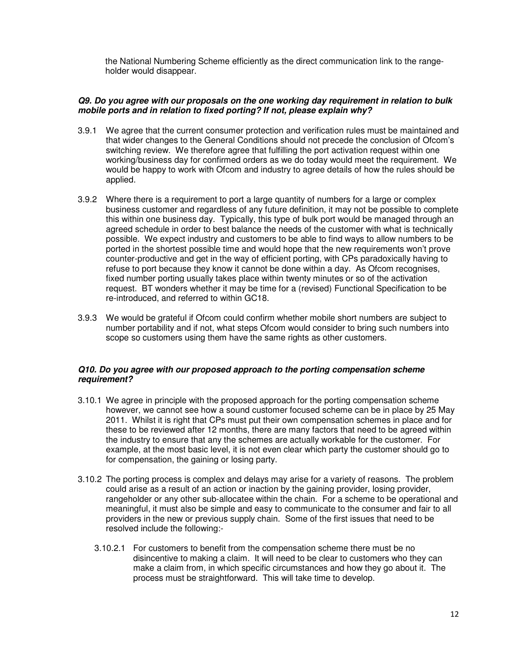the National Numbering Scheme efficiently as the direct communication link to the rangeholder would disappear.

#### *Q9. Do you agree with our proposals on the one working day requirement in relation to bulk mobile ports and in relation to fixed porting? If not, please explain why?*

- 3.9.1 We agree that the current consumer protection and verification rules must be maintained and that wider changes to the General Conditions should not precede the conclusion of Ofcom's switching review. We therefore agree that fulfilling the port activation request within one working/business day for confirmed orders as we do today would meet the requirement. We would be happy to work with Ofcom and industry to agree details of how the rules should be applied.
- 3.9.2 Where there is a requirement to port a large quantity of numbers for a large or complex business customer and regardless of any future definition, it may not be possible to complete this within one business day. Typically, this type of bulk port would be managed through an agreed schedule in order to best balance the needs of the customer with what is technically possible. We expect industry and customers to be able to find ways to allow numbers to be ported in the shortest possible time and would hope that the new requirements won't prove counter-productive and get in the way of efficient porting, with CPs paradoxically having to refuse to port because they know it cannot be done within a day. As Ofcom recognises, fixed number porting usually takes place within twenty minutes or so of the activation request. BT wonders whether it may be time for a (revised) Functional Specification to be re-introduced, and referred to within GC18.
- 3.9.3 We would be grateful if Ofcom could confirm whether mobile short numbers are subject to number portability and if not, what steps Ofcom would consider to bring such numbers into scope so customers using them have the same rights as other customers.

#### *Q10. Do you agree with our proposed approach to the porting compensation scheme requirement?*

- 3.10.1 We agree in principle with the proposed approach for the porting compensation scheme however, we cannot see how a sound customer focused scheme can be in place by 25 May 2011. Whilst it is right that CPs must put their own compensation schemes in place and for these to be reviewed after 12 months, there are many factors that need to be agreed within the industry to ensure that any the schemes are actually workable for the customer. For example, at the most basic level, it is not even clear which party the customer should go to for compensation, the gaining or losing party.
- 3.10.2 The porting process is complex and delays may arise for a variety of reasons. The problem could arise as a result of an action or inaction by the gaining provider, losing provider, rangeholder or any other sub-allocatee within the chain. For a scheme to be operational and meaningful, it must also be simple and easy to communicate to the consumer and fair to all providers in the new or previous supply chain. Some of the first issues that need to be resolved include the following:-
	- 3.10.2.1 For customers to benefit from the compensation scheme there must be no disincentive to making a claim. It will need to be clear to customers who they can make a claim from, in which specific circumstances and how they go about it. The process must be straightforward. This will take time to develop.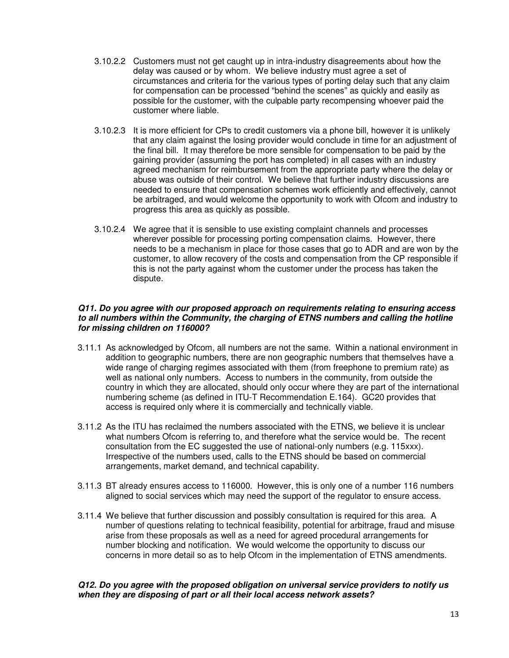- 3.10.2.2 Customers must not get caught up in intra-industry disagreements about how the delay was caused or by whom. We believe industry must agree a set of circumstances and criteria for the various types of porting delay such that any claim for compensation can be processed "behind the scenes" as quickly and easily as possible for the customer, with the culpable party recompensing whoever paid the customer where liable.
- 3.10.2.3 It is more efficient for CPs to credit customers via a phone bill, however it is unlikely that any claim against the losing provider would conclude in time for an adjustment of the final bill. It may therefore be more sensible for compensation to be paid by the gaining provider (assuming the port has completed) in all cases with an industry agreed mechanism for reimbursement from the appropriate party where the delay or abuse was outside of their control. We believe that further industry discussions are needed to ensure that compensation schemes work efficiently and effectively, cannot be arbitraged, and would welcome the opportunity to work with Ofcom and industry to progress this area as quickly as possible.
- 3.10.2.4 We agree that it is sensible to use existing complaint channels and processes wherever possible for processing porting compensation claims. However, there needs to be a mechanism in place for those cases that go to ADR and are won by the customer, to allow recovery of the costs and compensation from the CP responsible if this is not the party against whom the customer under the process has taken the dispute.

### *Q11. Do you agree with our proposed approach on requirements relating to ensuring access to all numbers within the Community, the charging of ETNS numbers and calling the hotline for missing children on 116000?*

- 3.11.1 As acknowledged by Ofcom, all numbers are not the same. Within a national environment in addition to geographic numbers, there are non geographic numbers that themselves have a wide range of charging regimes associated with them (from freephone to premium rate) as well as national only numbers. Access to numbers in the community, from outside the country in which they are allocated, should only occur where they are part of the international numbering scheme (as defined in ITU-T Recommendation E.164). GC20 provides that access is required only where it is commercially and technically viable.
- 3.11.2 As the ITU has reclaimed the numbers associated with the ETNS, we believe it is unclear what numbers Ofcom is referring to, and therefore what the service would be. The recent consultation from the EC suggested the use of national-only numbers (e.g. 115xxx). Irrespective of the numbers used, calls to the ETNS should be based on commercial arrangements, market demand, and technical capability.
- 3.11.3 BT already ensures access to 116000. However, this is only one of a number 116 numbers aligned to social services which may need the support of the regulator to ensure access.
- 3.11.4 We believe that further discussion and possibly consultation is required for this area. A number of questions relating to technical feasibility, potential for arbitrage, fraud and misuse arise from these proposals as well as a need for agreed procedural arrangements for number blocking and notification. We would welcome the opportunity to discuss our concerns in more detail so as to help Ofcom in the implementation of ETNS amendments.

## *Q12. Do you agree with the proposed obligation on universal service providers to notify us when they are disposing of part or all their local access network assets?*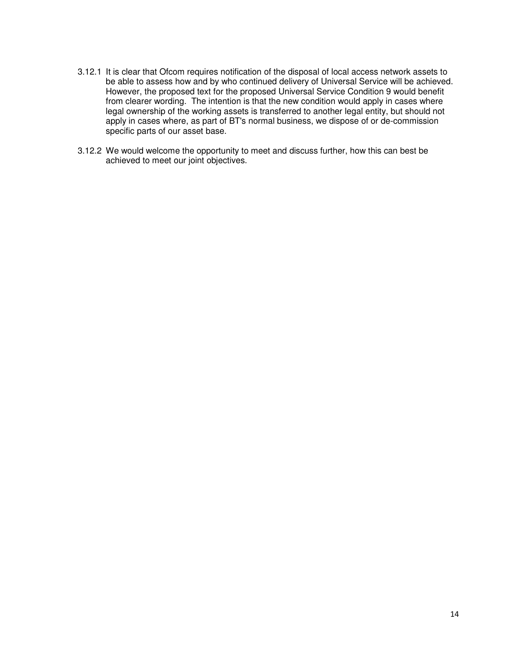- 3.12.1 It is clear that Ofcom requires notification of the disposal of local access network assets to be able to assess how and by who continued delivery of Universal Service will be achieved. However, the proposed text for the proposed Universal Service Condition 9 would benefit from clearer wording. The intention is that the new condition would apply in cases where legal ownership of the working assets is transferred to another legal entity, but should not apply in cases where, as part of BT's normal business, we dispose of or de-commission specific parts of our asset base.
- 3.12.2 We would welcome the opportunity to meet and discuss further, how this can best be achieved to meet our joint objectives.